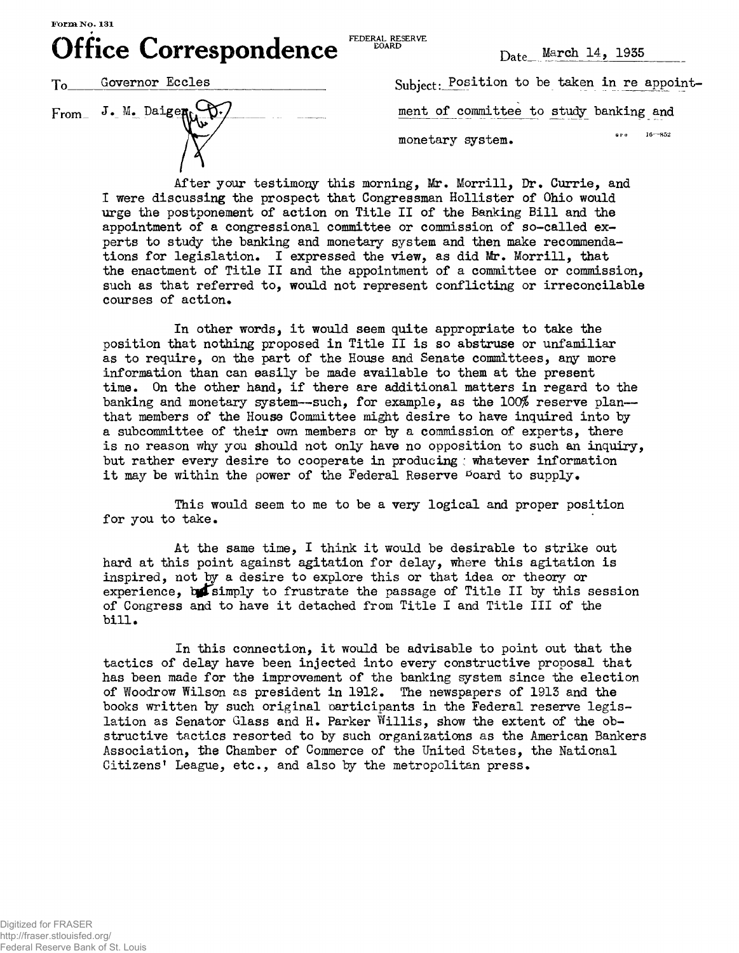**Office Correspondence**  $\sum_{\text{DOARB}}^{\text{FDERAL RBEKVE}}$   $\sum_{\text{Date}}^{\text{March 14, 1935}}$ 

FEDERAL RESERVE EOARD



 $\begin{bmatrix} \text{From} & \text{J} \cdot \text{M} \cdot \text{Da} \end{bmatrix}$ 

ion to be taken in re appointment of committee to study banking and  $16 - 852$ e P.O. monetary system.

After your testimony this morning, Mr. Morrill, Dr. Currie, and I were discussing the prospect that Congressman Hollister of Ohio would urge the postponement of action on Title II of the Banking Bill and the appointment of a congressional committee or commission of so-called experts to study the banking and monetary system and then make recommendations for legislation. I expressed the view, as did Mr. Morrill, that the enactment of Title II and the appointment of a committee or commission, such as that referred to, would not represent conflicting or irreconcilable courses of action.

In other words, it would seem quite appropriate to take the position that nothing proposed in Title II is so abstruse or unfamiliar as to require, on the part of the House and Senate committees, any more information than can easily be made available to them at the present time. On the other hand, if there are additional matters in regard to the banking and monetary system—such, for example, as the  $100\%$  reserve plan that members of the House Committee might desire to have inquired into by a subcommittee of their own members or by a commission of experts, there is no reason why you should not only have no opposition to such an inquiry, but rather every desire to cooperate in producing ; whatever information it may be within the power of the Federal Reserve  $^{10}$ oard to supply.

This would seem to me to be a very logical and proper position for you to take.

At the same time, I think it would be desirable to strike out hard at this point against agitation for delay, where this agitation is inspired, not by a desire to explore this or that idea or theory or experience, betaimply to frustrate the passage of Title II by this session of Congress and to have it detached from Title I and Title III of the bill.

In this connection, it would be advisable to point out that the tactics of delay have been injected into every constructive proposal that has been made for the improvement of the banking system since the election of Woodrow Wilson as president in 1912. The newspapers of 1913 and the books written by such original oarticipants in the Federal reserve legislation as Senator Glass and H. Parker Willis, show the extent of the obstructive tactics resorted to by such organizations as the American Bankers Association, the Chamber of Commerce of the United States, the National Citizens' League, etc., and also by the metropolitan press.